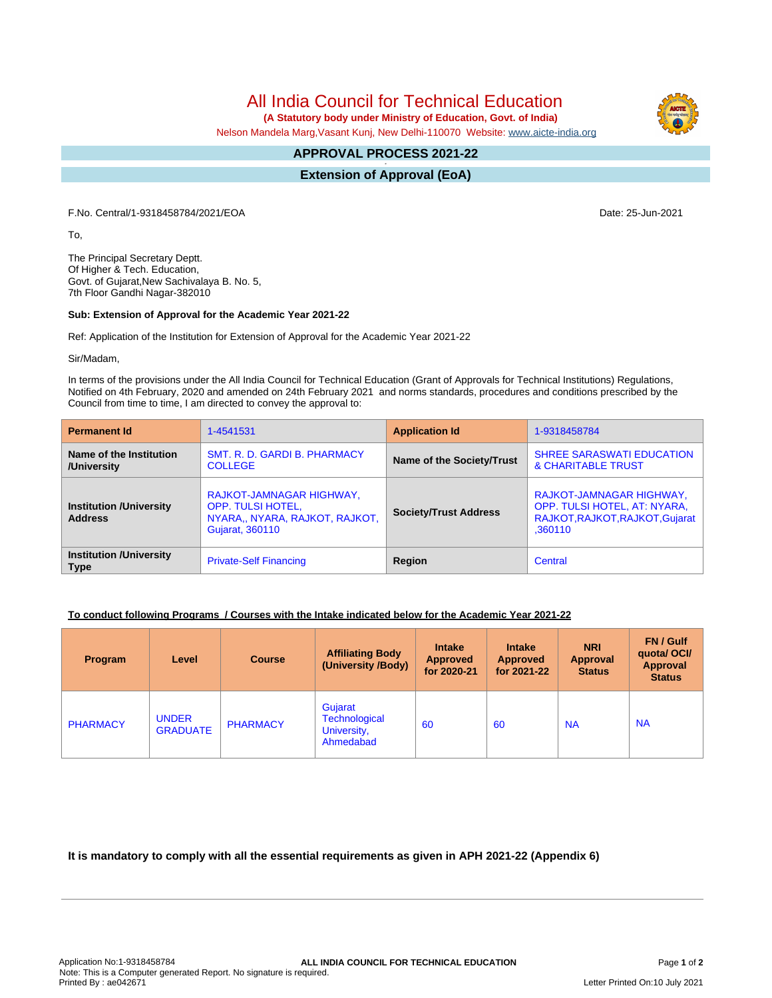All India Council for Technical Education

 **(A Statutory body under Ministry of Education, Govt. of India)**

Nelson Mandela Marg,Vasant Kunj, New Delhi-110070 Website: [www.aicte-india.org](http://www.aicte-india.org)

#### **APPROVAL PROCESS 2021-22 -**

**Extension of Approval (EoA)**

F.No. Central/1-9318458784/2021/EOA Date: 25-Jun-2021

To,

The Principal Secretary Deptt. Of Higher & Tech. Education, Govt. of Gujarat,New Sachivalaya B. No. 5, 7th Floor Gandhi Nagar-382010

#### **Sub: Extension of Approval for the Academic Year 2021-22**

Ref: Application of the Institution for Extension of Approval for the Academic Year 2021-22

Sir/Madam,

In terms of the provisions under the All India Council for Technical Education (Grant of Approvals for Technical Institutions) Regulations, Notified on 4th February, 2020 and amended on 24th February 2021 and norms standards, procedures and conditions prescribed by the Council from time to time, I am directed to convey the approval to:

| <b>Permanent Id</b>                              | 1-4541531                                                                                                 | <b>Application Id</b>        | 1-9318458784                                                                                           |  |
|--------------------------------------------------|-----------------------------------------------------------------------------------------------------------|------------------------------|--------------------------------------------------------------------------------------------------------|--|
| Name of the Institution<br>/University           | SMT. R. D. GARDI B. PHARMACY<br><b>COLLEGE</b>                                                            | Name of the Society/Trust    | <b>SHREE SARASWATI EDUCATION</b><br><b>&amp; CHARITABLE TRUST</b>                                      |  |
| <b>Institution /University</b><br><b>Address</b> | RAJKOT-JAMNAGAR HIGHWAY,<br><b>OPP. TULSI HOTEL,</b><br>NYARA,, NYARA, RAJKOT, RAJKOT,<br>Gujarat, 360110 | <b>Society/Trust Address</b> | RAJKOT-JAMNAGAR HIGHWAY,<br>OPP. TULSI HOTEL, AT: NYARA,<br>RAJKOT, RAJKOT, RAJKOT, Gujarat<br>.360110 |  |
| <b>Institution /University</b><br><b>Type</b>    | <b>Private-Self Financing</b>                                                                             | Region                       | Central                                                                                                |  |

## **To conduct following Programs / Courses with the Intake indicated below for the Academic Year 2021-22**

| Program         | Level                           | <b>Course</b>   | <b>Affiliating Body</b><br>(University /Body)               | <b>Intake</b><br><b>Approved</b><br>for 2020-21 | <b>Intake</b><br><b>Approved</b><br>for 2021-22 | <b>NRI</b><br><b>Approval</b><br><b>Status</b> | FN / Gulf<br>quotal OCI/<br>Approval<br><b>Status</b> |
|-----------------|---------------------------------|-----------------|-------------------------------------------------------------|-------------------------------------------------|-------------------------------------------------|------------------------------------------------|-------------------------------------------------------|
| <b>PHARMACY</b> | <b>UNDER</b><br><b>GRADUATE</b> | <b>PHARMACY</b> | Gujarat<br><b>Technological</b><br>University,<br>Ahmedabad | 60                                              | 60                                              | <b>NA</b>                                      | <b>NA</b>                                             |

**It is mandatory to comply with all the essential requirements as given in APH 2021-22 (Appendix 6)**